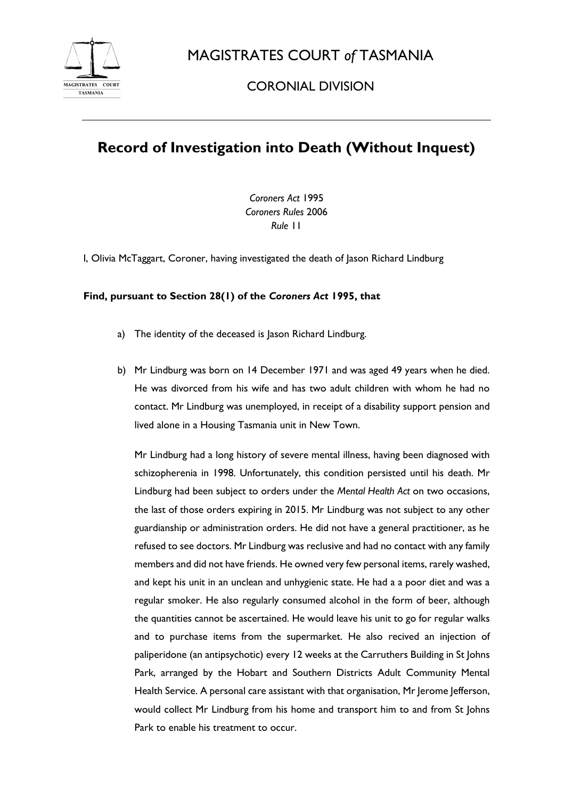

MAGISTRATES COURT *of* TASMANIA

CORONIAL DIVISION

## **Record of Investigation into Death (Without Inquest)**

*Coroners Act* 1995 *Coroners Rules* 2006 *Rule* 11

I, Olivia McTaggart, Coroner, having investigated the death of Jason Richard Lindburg

## **Find, pursuant to Section 28(1) of the** *Coroners Act* **1995, that**

- a) The identity of the deceased is Jason Richard Lindburg.
- b) Mr Lindburg was born on 14 December 1971 and was aged 49 years when he died. He was divorced from his wife and has two adult children with whom he had no contact. Mr Lindburg was unemployed, in receipt of a disability support pension and lived alone in a Housing Tasmania unit in New Town.

Mr Lindburg had a long history of severe mental illness, having been diagnosed with schizopherenia in 1998. Unfortunately, this condition persisted until his death. Mr Lindburg had been subject to orders under the *Mental Health Act* on two occasions, the last of those orders expiring in 2015. Mr Lindburg was not subject to any other guardianship or administration orders. He did not have a general practitioner, as he refused to see doctors. Mr Lindburg was reclusive and had no contact with any family members and did not have friends. He owned very few personal items, rarely washed, and kept his unit in an unclean and unhygienic state. He had a a poor diet and was a regular smoker. He also regularly consumed alcohol in the form of beer, although the quantities cannot be ascertained. He would leave his unit to go for regular walks and to purchase items from the supermarket. He also recived an injection of paliperidone (an antipsychotic) every 12 weeks at the Carruthers Building in St Johns Park, arranged by the Hobart and Southern Districts Adult Community Mental Health Service. A personal care assistant with that organisation, Mr Jerome Jefferson, would collect Mr Lindburg from his home and transport him to and from St Johns Park to enable his treatment to occur.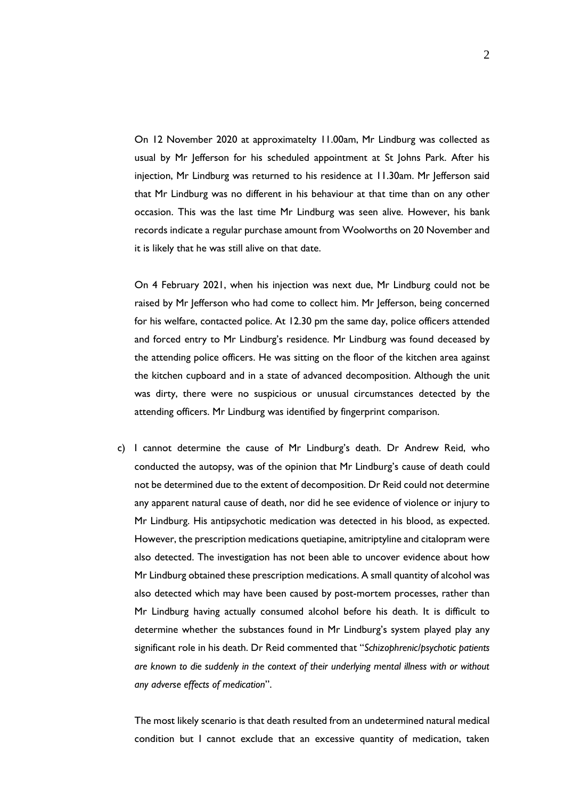On 12 November 2020 at approximatelty 11.00am, Mr Lindburg was collected as usual by Mr Jefferson for his scheduled appointment at St Johns Park. After his injection, Mr Lindburg was returned to his residence at 11.30am. Mr Jefferson said that Mr Lindburg was no different in his behaviour at that time than on any other occasion. This was the last time Mr Lindburg was seen alive. However, his bank records indicate a regular purchase amount from Woolworths on 20 November and it is likely that he was still alive on that date.

On 4 February 2021, when his injection was next due, Mr Lindburg could not be raised by Mr Jefferson who had come to collect him. Mr Jefferson, being concerned for his welfare, contacted police. At 12.30 pm the same day, police officers attended and forced entry to Mr Lindburg's residence. Mr Lindburg was found deceased by the attending police officers. He was sitting on the floor of the kitchen area against the kitchen cupboard and in a state of advanced decomposition. Although the unit was dirty, there were no suspicious or unusual circumstances detected by the attending officers. Mr Lindburg was identified by fingerprint comparison.

c) I cannot determine the cause of Mr Lindburg's death. Dr Andrew Reid, who conducted the autopsy, was of the opinion that Mr Lindburg's cause of death could not be determined due to the extent of decomposition. Dr Reid could not determine any apparent natural cause of death, nor did he see evidence of violence or injury to Mr Lindburg. His antipsychotic medication was detected in his blood, as expected. However, the prescription medications quetiapine, amitriptyline and citalopram were also detected. The investigation has not been able to uncover evidence about how Mr Lindburg obtained these prescription medications. A small quantity of alcohol was also detected which may have been caused by post-mortem processes, rather than Mr Lindburg having actually consumed alcohol before his death. It is difficult to determine whether the substances found in Mr Lindburg's system played play any significant role in his death. Dr Reid commented that "*Schizophrenic/psychotic patients are known to die suddenly in the context of their underlying mental illness with or without any adverse effects of medication*".

The most likely scenario is that death resulted from an undetermined natural medical condition but I cannot exclude that an excessive quantity of medication, taken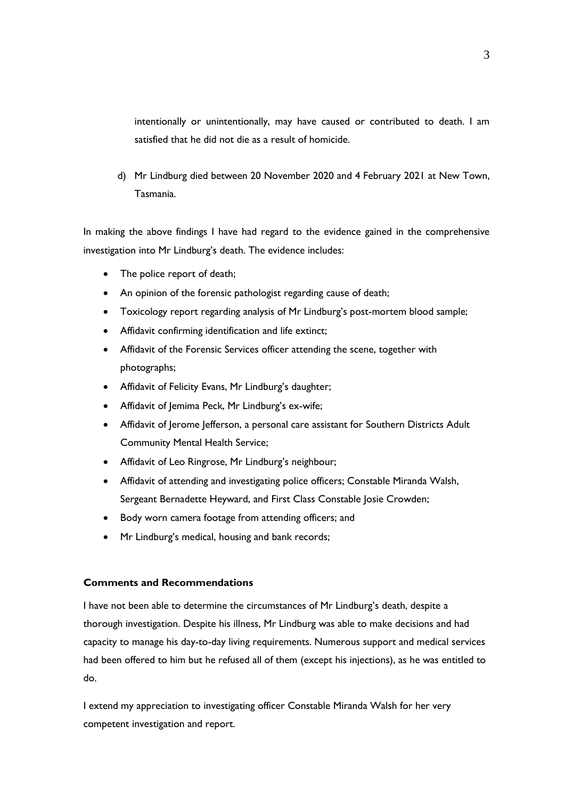intentionally or unintentionally, may have caused or contributed to death. I am satisfied that he did not die as a result of homicide.

d) Mr Lindburg died between 20 November 2020 and 4 February 2021 at New Town, Tasmania.

In making the above findings I have had regard to the evidence gained in the comprehensive investigation into Mr Lindburg's death. The evidence includes:

- The police report of death;
- An opinion of the forensic pathologist regarding cause of death;
- Toxicology report regarding analysis of Mr Lindburg's post-mortem blood sample;
- Affidavit confirming identification and life extinct;
- Affidavit of the Forensic Services officer attending the scene, together with photographs;
- Affidavit of Felicity Evans, Mr Lindburg's daughter;
- Affidavit of Jemima Peck, Mr Lindburg's ex-wife;
- Affidavit of Jerome Jefferson, a personal care assistant for Southern Districts Adult Community Mental Health Service;
- Affidavit of Leo Ringrose, Mr Lindburg's neighbour;
- Affidavit of attending and investigating police officers; Constable Miranda Walsh, Sergeant Bernadette Heyward, and First Class Constable Josie Crowden;
- Body worn camera footage from attending officers; and
- Mr Lindburg's medical, housing and bank records;

## **Comments and Recommendations**

I have not been able to determine the circumstances of Mr Lindburg's death, despite a thorough investigation. Despite his illness, Mr Lindburg was able to make decisions and had capacity to manage his day-to-day living requirements. Numerous support and medical services had been offered to him but he refused all of them (except his injections), as he was entitled to do.

I extend my appreciation to investigating officer Constable Miranda Walsh for her very competent investigation and report.